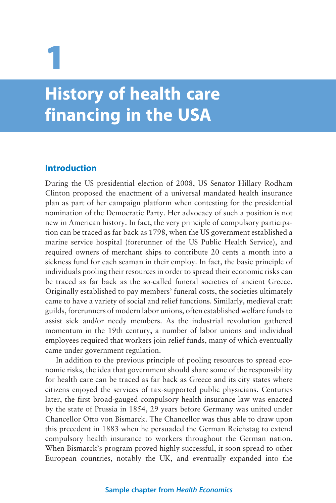*1*

# History of health care financing in the USA

## Introduction

During the US presidential election of 2008, US Senator Hillary Rodham Clinton proposed the enactment of a universal mandated health insurance plan as part of her campaign platform when contesting for the presidential nomination of the Democratic Party. Her advocacy of such a position is not new in American history. In fact, the very principle of compulsory participation can be traced as far back as 1798, when the US government established a marine service hospital (forerunner of the US Public Health Service), and required owners of merchant ships to contribute 20 cents a month into a sickness fund for each seaman in their employ. In fact, the basic principle of individuals pooling their resources in order to spread their economic risks can be traced as far back as the so-called funeral societies of ancient Greece. Originally established to pay members' funeral costs, the societies ultimately came to have a variety of social and relief functions. Similarly, medieval craft guilds, forerunners of modern labor unions, often established welfare funds to assist sick and/or needy members. As the industrial revolution gathered momentum in the 19th century, a number of labor unions and individual employees required that workers join relief funds, many of which eventually came under government regulation.

In addition to the previous principle of pooling resources to spread economic risks, the idea that government should share some of the responsibility for health care can be traced as far back as Greece and its city states where citizens enjoyed the services of tax-supported public physicians. Centuries later, the first broad-gauged compulsory health insurance law was enacted by the state of Prussia in 1854, 29 years before Germany was united under Chancellor Otto von Bismarck. The Chancellor was thus able to draw upon this precedent in 1883 when he persuaded the German Reichstag to extend compulsory health insurance to workers throughout the German nation. When Bismarck's program proved highly successful, it soon spread to other European countries, notably the UK, and eventually expanded into the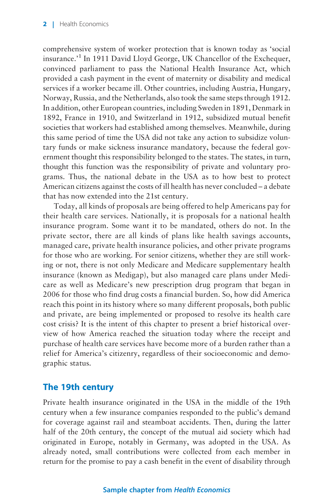comprehensive system of worker protection that is known today as 'social insurance.'[1](#page-24-0) In 1911 David Lloyd George, UK Chancellor of the Exchequer, convinced parliament to pass the National Health Insurance Act, which provided a cash payment in the event of maternity or disability and medical services if a worker became ill. Other countries, including Austria, Hungary, Norway, Russia, and the Netherlands, also took the same steps through 1912. In addition, other European countries, including Sweden in 1891, Denmark in 1892, France in 1910, and Switzerland in 1912, subsidized mutual benefit societies that workers had established among themselves. Meanwhile, during this same period of time the USA did not take any action to subsidize voluntary funds or make sickness insurance mandatory, because the federal government thought this responsibility belonged to the states. The states, in turn, thought this function was the responsibility of private and voluntary programs. Thus, the national debate in the USA as to how best to protect American citizens against the costs of ill health has never concluded – a debate that has now extended into the 21st century.

Today, all kinds of proposals are being offered to help Americans pay for their health care services. Nationally, it is proposals for a national health insurance program. Some want it to be mandated, others do not. In the private sector, there are all kinds of plans like health savings accounts, managed care, private health insurance policies, and other private programs for those who are working. For senior citizens, whether they are still working or not, there is not only Medicare and Medicare supplementary health insurance (known as Medigap), but also managed care plans under Medicare as well as Medicare's new prescription drug program that began in 2006 for those who find drug costs a financial burden. So, how did America reach this point in its history where so many different proposals, both public and private, are being implemented or proposed to resolve its health care cost crisis? It is the intent of this chapter to present a brief historical overview of how America reached the situation today where the receipt and purchase of health care services have become more of a burden rather than a relief for America's citizenry, regardless of their socioeconomic and demographic status.

# The 19th century

Private health insurance originated in the USA in the middle of the 19th century when a few insurance companies responded to the public's demand for coverage against rail and steamboat accidents. Then, during the latter half of the 20th century, the concept of the mutual aid society which had originated in Europe, notably in Germany, was adopted in the USA. As already noted, small contributions were collected from each member in return for the promise to pay a cash benefit in the event of disability through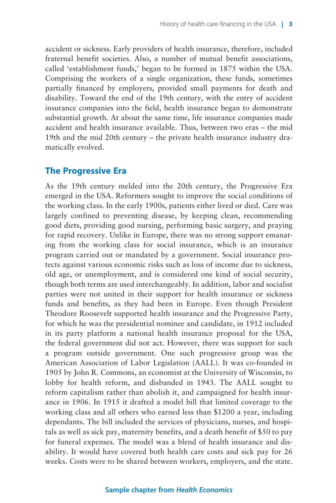accident or sickness. Early providers of health insurance, therefore, included fraternal benefit societies. Also, a number of mutual benefit associations, called 'establishment funds,' began to be formed in 1875 within the USA. Comprising the workers of a single organization, these funds, sometimes partially financed by employers, provided small payments for death and disability. Toward the end of the 19th century, with the entry of accident insurance companies into the field, health insurance began to demonstrate substantial growth. At about the same time, life insurance companies made accident and health insurance available. Thus, between two eras – the mid 19th and the mid 20th century – the private health insurance industry dramatically evolved.

# The Progressive Era

As the 19th century melded into the 20th century, the Progressive Era emerged in the USA. Reformers sought to improve the social conditions of the working class. In the early 1900s, patients either lived or died. Care was largely confined to preventing disease, by keeping clean, recommending good diets, providing good nursing, performing basic surgery, and praying for rapid recovery. Unlike in Europe, there was no strong support emanating from the working class for social insurance, which is an insurance program carried out or mandated by a government. Social insurance protects against various economic risks such as loss of income due to sickness, old age, or unemployment, and is considered one kind of social security, though both terms are used interchangeably. In addition, labor and socialist parties were not united in their support for health insurance or sickness funds and benefits, as they had been in Europe. Even though President Theodore Roosevelt supported health insurance and the Progressive Party, for which he was the presidential nominee and candidate, in 1912 included in its party platform a national health insurance proposal for the USA, the federal government did not act. However, there was support for such a program outside government. One such progressive group was the American Association of Labor Legislation (AALL). It was co-founded in 1905 by John R. Commons, an economist at the University of Wisconsin, to lobby for health reform, and disbanded in 1943. The AALL sought to reform capitalism rather than abolish it, and campaigned for health insurance in 1906. In 1915 it drafted a model bill that limited coverage to the working class and all others who earned less than \$1200 a year, including dependants. The bill included the services of physicians, nurses, and hospitals as well as sick pay, maternity benefits, and a death benefit of \$50 to pay for funeral expenses. The model was a blend of health insurance and disability. It would have covered both health care costs and sick pay for 26 weeks. Costs were to be shared between workers, employers, and the state.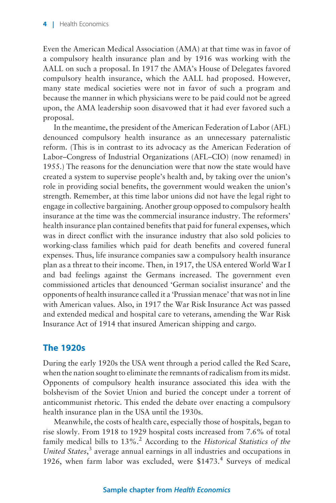Even the American Medical Association (AMA) at that time was in favor of a compulsory health insurance plan and by 1916 was working with the AALL on such a proposal. In 1917 the AMA's House of Delegates favored compulsory health insurance, which the AALL had proposed. However, many state medical societies were not in favor of such a program and because the manner in which physicians were to be paid could not be agreed upon, the AMA leadership soon disavowed that it had ever favored such a proposal.

In the meantime, the president of the American Federation of Labor (AFL) denounced compulsory health insurance as an unnecessary paternalistic reform. (This is in contrast to its advocacy as the American Federation of Labor–Congress of Industrial Organizations (AFL–CIO) (now renamed) in 1955.) The reasons for the denunciation were that now the state would have created a system to supervise people's health and, by taking over the union's role in providing social benefits, the government would weaken the union's strength. Remember, at this time labor unions did not have the legal right to engage in collective bargaining. Another group opposed to compulsory health insurance at the time was the commercial insurance industry. The reformers' health insurance plan contained benefits that paid for funeral expenses, which was in direct conflict with the insurance industry that also sold policies to working-class families which paid for death benefits and covered funeral expenses. Thus, life insurance companies saw a compulsory health insurance plan as a threat to their income. Then, in 1917, the USA entered World War I and bad feelings against the Germans increased. The government even commissioned articles that denounced 'German socialist insurance' and the opponents of health insurance called it a 'Prussian menace' that was not in line with American values. Also, in 1917 the War Risk Insurance Act was passed and extended medical and hospital care to veterans, amending the War Risk Insurance Act of 1914 that insured American shipping and cargo.

# The 1920s

During the early 1920s the USA went through a period called the Red Scare, when the nation sought to eliminate the remnants of radicalism from its midst. Opponents of compulsory health insurance associated this idea with the bolshevism of the Soviet Union and buried the concept under a torrent of anticommunist rhetoric. This ended the debate over enacting a compulsory health insurance plan in the USA until the 1930s.

Meanwhile, the costs of health care, especially those of hospitals, began to rise slowly. From 1918 to 1929 hospital costs increased from 7.6% of total family medical bills to  $13\%$ <sup>[2](#page-24-0)</sup>. According to the Historical Statistics of the United States,<sup>[3](#page-24-0)</sup> average annual earnings in all industries and occupations in 1926, when farm labor was excluded, were  $$1473<sup>4</sup>$  $$1473<sup>4</sup>$  $$1473<sup>4</sup>$  Surveys of medical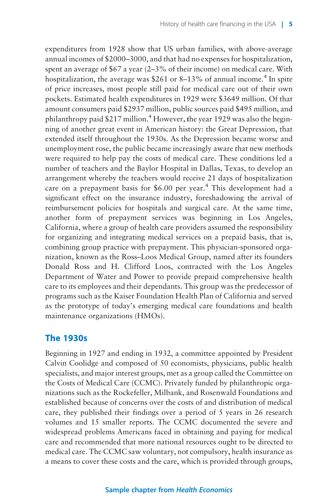expenditures from 1928 show that US urban families, with above-average annual incomes of \$2000–3000, and that had no expenses for hospitalization, spent an average of \$67 a year (2–3% of their income) on medical care. With hospitalization, the average was  $$261$  or  $8-13\%$  of annual income.<sup>[4](#page-24-0)</sup> In spite of price increases, most people still paid for medical care out of their own pockets. Estimated health expenditures in 1929 were \$3649 million. Of that amount consumers paid \$2937 million, public sources paid \$495 million, and philanthropy paid  $$217$  million.<sup>[4](#page-24-0)</sup> However, the year 1929 was also the beginning of another great event in American history: the Great Depression, that extended itself throughout the 1930s. As the Depression became worse and unemployment rose, the public became increasingly aware that new methods were required to help pay the costs of medical care. These conditions led a number of teachers and the Baylor Hospital in Dallas, Texas, to develop an arrangement whereby the teachers would receive 21 days of hospitalization care on a prepayment basis for \$6.00 per year.<sup>[4](#page-24-0)</sup> This development had a significant effect on the insurance industry, foreshadowing the arrival of reimbursement policies for hospitals and surgical care. At the same time, another form of prepayment services was beginning in Los Angeles, California, where a group of health care providers assumed the responsibility for organizing and integrating medical services on a prepaid basis, that is, combining group practice with prepayment. This physician-sponsored organization, known as the Ross–Loos Medical Group, named after its founders Donald Ross and H. Clifford Loos, contracted with the Los Angeles Department of Water and Power to provide prepaid comprehensive health care to its employees and their dependants. This group was the predecessor of programs such as the Kaiser Foundation Health Plan of California and served as the prototype of today's emerging medical care foundations and health maintenance organizations (HMOs).

## The 1930s

Beginning in 1927 and ending in 1932, a committee appointed by President Calvin Coolidge and composed of 50 economists, physicians, public health specialists, and major interest groups, met as a group called the Committee on the Costs of Medical Care (CCMC). Privately funded by philanthropic organizations such as the Rockefeller, Milbank, and Rosenwald Foundations and established because of concerns over the costs of and distribution of medical care, they published their findings over a period of 5 years in 26 research volumes and 15 smaller reports. The CCMC documented the severe and widespread problems Americans faced in obtaining and paying for medical care and recommended that more national resources ought to be directed to medical care. The CCMC saw voluntary, not compulsory, health insurance as a means to cover these costs and the care, which is provided through groups,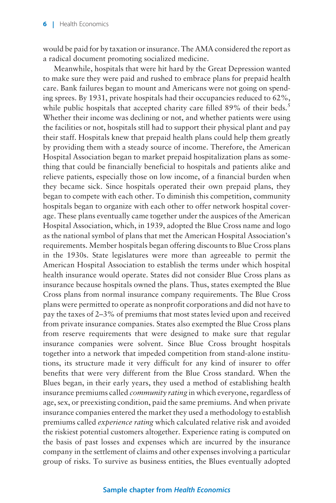would be paid for by taxation or insurance. The AMA considered the report as a radical document promoting socialized medicine.

Meanwhile, hospitals that were hit hard by the Great Depression wanted to make sure they were paid and rushed to embrace plans for prepaid health care. Bank failures began to mount and Americans were not going on spending sprees. By 1931, private hospitals had their occupancies reduced to 62%, while public hospitals that accepted charity care filled 89% of their beds.<sup>[5](#page-24-0)</sup> Whether their income was declining or not, and whether patients were using the facilities or not, hospitals still had to support their physical plant and pay their staff. Hospitals knew that prepaid health plans could help them greatly by providing them with a steady source of income. Therefore, the American Hospital Association began to market prepaid hospitalization plans as something that could be financially beneficial to hospitals and patients alike and relieve patients, especially those on low income, of a financial burden when they became sick. Since hospitals operated their own prepaid plans, they began to compete with each other. To diminish this competition, community hospitals began to organize with each other to offer network hospital coverage. These plans eventually came together under the auspices of the American Hospital Association, which, in 1939, adopted the Blue Cross name and logo as the national symbol of plans that met the American Hospital Association's requirements. Member hospitals began offering discounts to Blue Cross plans in the 1930s. State legislatures were more than agreeable to permit the American Hospital Association to establish the terms under which hospital health insurance would operate. States did not consider Blue Cross plans as insurance because hospitals owned the plans. Thus, states exempted the Blue Cross plans from normal insurance company requirements. The Blue Cross plans were permitted to operate as nonprofit corporations and did not have to pay the taxes of 2–3% of premiums that most states levied upon and received from private insurance companies. States also exempted the Blue Cross plans from reserve requirements that were designed to make sure that regular insurance companies were solvent. Since Blue Cross brought hospitals together into a network that impeded competition from stand-alone institutions, its structure made it very difficult for any kind of insurer to offer benefits that were very different from the Blue Cross standard. When the Blues began, in their early years, they used a method of establishing health insurance premiums called community rating in which everyone, regardless of age, sex, or preexisting condition, paid the same premiums. And when private insurance companies entered the market they used a methodology to establish premiums called experience rating which calculated relative risk and avoided the riskiest potential customers altogether. Experience rating is computed on the basis of past losses and expenses which are incurred by the insurance company in the settlement of claims and other expenses involving a particular group of risks. To survive as business entities, the Blues eventually adopted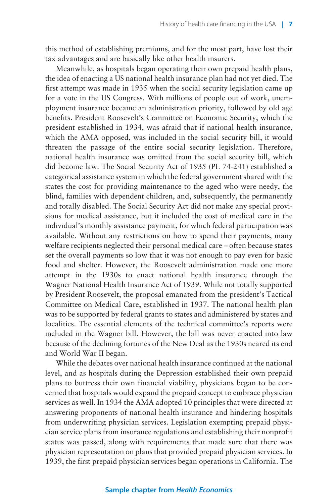this method of establishing premiums, and for the most part, have lost their tax advantages and are basically like other health insurers.

Meanwhile, as hospitals began operating their own prepaid health plans, the idea of enacting a US national health insurance plan had not yet died. The first attempt was made in 1935 when the social security legislation came up for a vote in the US Congress. With millions of people out of work, unemployment insurance became an administration priority, followed by old age benefits. President Roosevelt's Committee on Economic Security, which the president established in 1934, was afraid that if national health insurance, which the AMA opposed, was included in the social security bill, it would threaten the passage of the entire social security legislation. Therefore, national health insurance was omitted from the social security bill, which did become law. The Social Security Act of 1935 (PL 74-241) established a categorical assistance system in which the federal government shared with the states the cost for providing maintenance to the aged who were needy, the blind, families with dependent children, and, subsequently, the permanently and totally disabled. The Social Security Act did not make any special provisions for medical assistance, but it included the cost of medical care in the individual's monthly assistance payment, for which federal participation was available. Without any restrictions on how to spend their payments, many welfare recipients neglected their personal medical care – often because states set the overall payments so low that it was not enough to pay even for basic food and shelter. However, the Roosevelt administration made one more attempt in the 1930s to enact national health insurance through the Wagner National Health Insurance Act of 1939. While not totally supported by President Roosevelt, the proposal emanated from the president's Tactical Committee on Medical Care, established in 1937. The national health plan was to be supported by federal grants to states and administered by states and localities. The essential elements of the technical committee's reports were included in the Wagner bill. However, the bill was never enacted into law because of the declining fortunes of the New Deal as the 1930s neared its end and World War II began.

While the debates over national health insurance continued at the national level, and as hospitals during the Depression established their own prepaid plans to buttress their own financial viability, physicians began to be concerned that hospitals would expand the prepaid concept to embrace physician services as well. In 1934 the AMA adopted 10 principles that were directed at answering proponents of national health insurance and hindering hospitals from underwriting physician services. Legislation exempting prepaid physician service plans from insurance regulations and establishing their nonprofit status was passed, along with requirements that made sure that there was physician representation on plans that provided prepaid physician services. In 1939, the first prepaid physician services began operations in California. The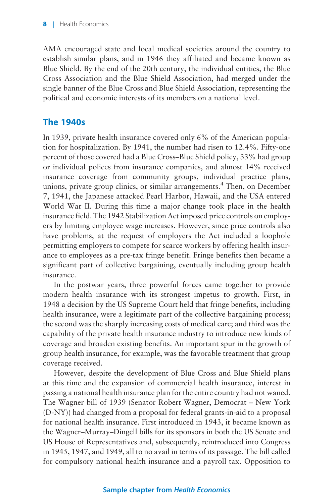AMA encouraged state and local medical societies around the country to establish similar plans, and in 1946 they affiliated and became known as Blue Shield. By the end of the 20th century, the individual entities, the Blue Cross Association and the Blue Shield Association, had merged under the single banner of the Blue Cross and Blue Shield Association, representing the political and economic interests of its members on a national level.

# The 1940s

In 1939, private health insurance covered only 6% of the American population for hospitalization. By 1941, the number had risen to 12.4%. Fifty-one percent of those covered had a Blue Cross–Blue Shield policy, 33% had group or individual polices from insurance companies, and almost 14% received insurance coverage from community groups, individual practice plans, unions, private group clinics, or similar arrangements.<sup>[4](#page-24-0)</sup> Then, on December 7, 1941, the Japanese attacked Pearl Harbor, Hawaii, and the USA entered World War II. During this time a major change took place in the health insurance field. The 1942 Stabilization Act imposed price controls on employers by limiting employee wage increases. However, since price controls also have problems, at the request of employers the Act included a loophole permitting employers to compete for scarce workers by offering health insurance to employees as a pre-tax fringe benefit. Fringe benefits then became a significant part of collective bargaining, eventually including group health insurance.

In the postwar years, three powerful forces came together to provide modern health insurance with its strongest impetus to growth. First, in 1948 a decision by the US Supreme Court held that fringe benefits, including health insurance, were a legitimate part of the collective bargaining process; the second was the sharply increasing costs of medical care; and third was the capability of the private health insurance industry to introduce new kinds of coverage and broaden existing benefits. An important spur in the growth of group health insurance, for example, was the favorable treatment that group coverage received.

However, despite the development of Blue Cross and Blue Shield plans at this time and the expansion of commercial health insurance, interest in passing a national health insurance plan for the entire country had not waned. The Wagner bill of 1939 (Senator Robert Wagner, Democrat – New York (D-NY)) had changed from a proposal for federal grants-in-aid to a proposal for national health insurance. First introduced in 1943, it became known as the Wagner–Murray–Dingell bills for its sponsors in both the US Senate and US House of Representatives and, subsequently, reintroduced into Congress in 1945, 1947, and 1949, all to no avail in terms of its passage. The bill called for compulsory national health insurance and a payroll tax. Opposition to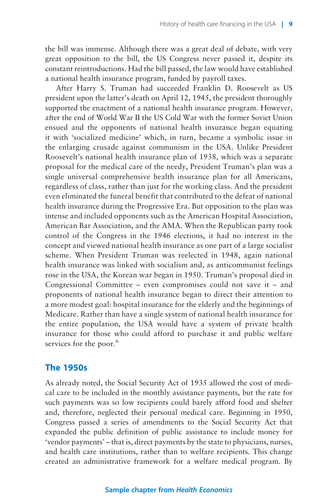the bill was immense. Although there was a great deal of debate, with very great opposition to the bill, the US Congress never passed it, despite its constant reintroductions. Had the bill passed, the law would have established a national health insurance program, funded by payroll taxes.

After Harry S. Truman had succeeded Franklin D. Roosevelt as US president upon the latter's death on April 12, 1945, the president thoroughly supported the enactment of a national health insurance program. However, after the end of World War II the US Cold War with the former Soviet Union ensued and the opponents of national health insurance began equating it with 'socialized medicine' which, in turn, became a symbolic issue in the enlarging crusade against communism in the USA. Unlike President Roosevelt's national health insurance plan of 1938, which was a separate proposal for the medical care of the needy, President Truman's plan was a single universal comprehensive health insurance plan for all Americans, regardless of class, rather than just for the working class. And the president even eliminated the funeral benefit that contributed to the defeat of national health insurance during the Progressive Era. But opposition to the plan was intense and included opponents such as the American Hospital Association, American Bar Association, and the AMA. When the Republican party took control of the Congress in the 1946 elections, it had no interest in the concept and viewed national health insurance as one part of a large socialist scheme. When President Truman was reelected in 1948, again national health insurance was linked with socialism and, as anticommunist feelings rose in the USA, the Korean war began in 1950. Truman's proposal died in Congressional Committee – even compromises could not save it – and proponents of national health insurance began to direct their attention to a more modest goal: hospital insurance for the elderly and the beginnings of Medicare. Rather than have a single system of national health insurance for the entire population, the USA would have a system of private health insurance for those who could afford to purchase it and public welfare services for the poor.<sup>[6](#page-24-0)</sup>

## The 1950s

As already noted, the Social Security Act of 1935 allowed the cost of medical care to be included in the monthly assistance payments, but the rate for such payments was so low recipients could barely afford food and shelter and, therefore, neglected their personal medical care. Beginning in 1950, Congress passed a series of amendments to the Social Security Act that expanded the public definition of public assistance to include money for 'vendor payments' – that is, direct payments by the state to physicians, nurses, and health care institutions, rather than to welfare recipients. This change created an administrative framework for a welfare medical program. By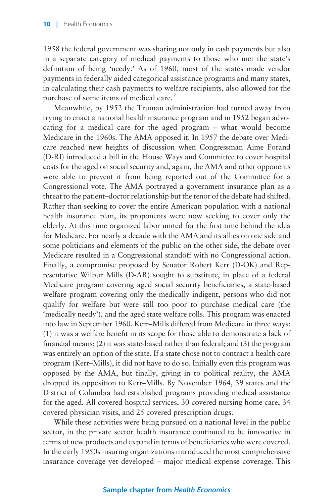1958 the federal government was sharing not only in cash payments but also in a separate category of medical payments to those who met the state's definition of being 'needy.' As of 1960, most of the states made vendor payments in federally aided categorical assistance programs and many states, in calculating their cash payments to welfare recipients, also allowed for the purchase of some items of medical care.<sup>[7](#page-24-0)</sup>

Meanwhile, by 1952 the Truman administration had turned away from trying to enact a national health insurance program and in 1952 began advocating for a medical care for the aged program – what would become Medicare in the 1960s. The AMA opposed it. In 1957 the debate over Medicare reached new heights of discussion when Congressman Aime Forand (D-RI) introduced a bill in the House Ways and Committee to cover hospital costs for the aged on social security and, again, the AMA and other opponents were able to prevent it from being reported out of the Committee for a Congressional vote. The AMA portrayed a government insurance plan as a threat to the patient–doctor relationship but the tenor of the debate had shifted. Rather than seeking to cover the entire American population with a national health insurance plan, its proponents were now seeking to cover only the elderly. At this time organized labor united for the first time behind the idea for Medicare. For nearly a decade with the AMA and its allies on one side and some politicians and elements of the public on the other side, the debate over Medicare resulted in a Congressional standoff with no Congressional action. Finally, a compromise proposed by Senator Robert Kerr (D-OK) and Representative Wilbur Mills (D-AR) sought to substitute, in place of a federal Medicare program covering aged social security beneficiaries, a state-based welfare program covering only the medically indigent, persons who did not qualify for welfare but were still too poor to purchase medical care (the 'medically needy'), and the aged state welfare rolls. This program was enacted into law in September 1960. Kerr–Mills differed from Medicare in three ways: (1) it was a welfare benefit in its scope for those able to demonstrate a lack of financial means; (2) it was state-based rather than federal; and (3) the program was entirely an option of the state. If a state chose not to contract a health care program (Kerr–Mills), it did not have to do so. Initially even this program was opposed by the AMA, but finally, giving in to political reality, the AMA dropped its opposition to Kerr–Mills. By November 1964, 39 states and the District of Columbia had established programs providing medical assistance for the aged. All covered hospital services, 30 covered nursing home care, 34 covered physician visits, and 25 covered prescription drugs.

While these activities were being pursued on a national level in the public sector, in the private sector health insurance continued to be innovative in terms of new products and expand in terms of beneficiaries who were covered. In the early 1950s insuring organizations introduced the most comprehensive insurance coverage yet developed – major medical expense coverage. This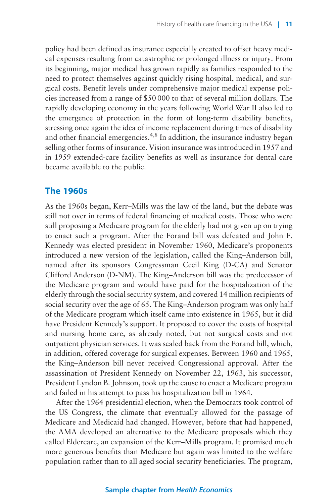policy had been defined as insurance especially created to offset heavy medical expenses resulting from catastrophic or prolonged illness or injury. From its beginning, major medical has grown rapidly as families responded to the need to protect themselves against quickly rising hospital, medical, and surgical costs. Benefit levels under comprehensive major medical expense policies increased from a range of \$50 000 to that of several million dollars. The rapidly developing economy in the years following World War II also led to the emergence of protection in the form of long-term disability benefits, stressing once again the idea of income replacement during times of disability and other financial emergencies.<sup>4,8</sup> In addition, the insurance industry began selling other forms of insurance. Vision insurance was introduced in 1957 and in 1959 extended-care facility benefits as well as insurance for dental care became available to the public.

## The 1960s

As the 1960s began, Kerr–Mills was the law of the land, but the debate was still not over in terms of federal financing of medical costs. Those who were still proposing a Medicare program for the elderly had not given up on trying to enact such a program. After the Forand bill was defeated and John F. Kennedy was elected president in November 1960, Medicare's proponents introduced a new version of the legislation, called the King–Anderson bill, named after its sponsors Congressman Cecil King (D-CA) and Senator Clifford Anderson (D-NM). The King–Anderson bill was the predecessor of the Medicare program and would have paid for the hospitalization of the elderly through the social security system, and covered 14 million recipients of social security over the age of 65. The King–Anderson program was only half of the Medicare program which itself came into existence in 1965, but it did have President Kennedy's support. It proposed to cover the costs of hospital and nursing home care, as already noted, but not surgical costs and not outpatient physician services. It was scaled back from the Forand bill, which, in addition, offered coverage for surgical expenses. Between 1960 and 1965, the King–Anderson bill never received Congressional approval. After the assassination of President Kennedy on November 22, 1963, his successor, President Lyndon B. Johnson, took up the cause to enact a Medicare program and failed in his attempt to pass his hospitalization bill in 1964.

After the 1964 presidential election, when the Democrats took control of the US Congress, the climate that eventually allowed for the passage of Medicare and Medicaid had changed. However, before that had happened, the AMA developed an alternative to the Medicare proposals which they called Eldercare, an expansion of the Kerr–Mills program. It promised much more generous benefits than Medicare but again was limited to the welfare population rather than to all aged social security beneficiaries. The program,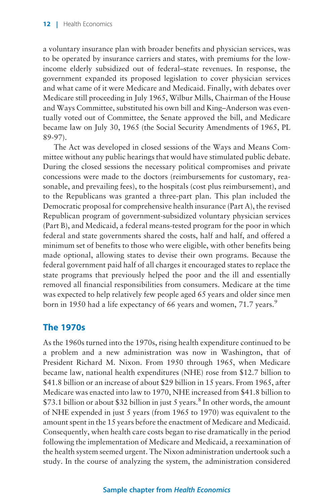a voluntary insurance plan with broader benefits and physician services, was to be operated by insurance carriers and states, with premiums for the lowincome elderly subsidized out of federal–state revenues. In response, the government expanded its proposed legislation to cover physician services and what came of it were Medicare and Medicaid. Finally, with debates over Medicare still proceeding in July 1965, Wilbur Mills, Chairman of the House and Ways Committee, substituted his own bill and King–Anderson was eventually voted out of Committee, the Senate approved the bill, and Medicare became law on July 30, 1965 (the Social Security Amendments of 1965, PL 89-97).

The Act was developed in closed sessions of the Ways and Means Committee without any public hearings that would have stimulated public debate. During the closed sessions the necessary political compromises and private concessions were made to the doctors (reimbursements for customary, reasonable, and prevailing fees), to the hospitals (cost plus reimbursement), and to the Republicans was granted a three-part plan. This plan included the Democratic proposal for comprehensive health insurance (Part A), the revised Republican program of government-subsidized voluntary physician services (Part B), and Medicaid, a federal means-tested program for the poor in which federal and state governments shared the costs, half and half, and offered a minimum set of benefits to those who were eligible, with other benefits being made optional, allowing states to devise their own programs. Because the federal government paid half of all charges it encouraged states to replace the state programs that previously helped the poor and the ill and essentially removed all financial responsibilities from consumers. Medicare at the time was expected to help relatively few people aged 65 years and older since men born in 1[9](#page-24-0)50 had a life expectancy of 66 years and women, 71.7 years.<sup>9</sup>

# The 1970s

As the 1960s turned into the 1970s, rising health expenditure continued to be a problem and a new administration was now in Washington, that of President Richard M. Nixon. From 1950 through 1965, when Medicare became law, national health expenditures (NHE) rose from \$12.7 billion to \$41.8 billion or an increase of about \$29 billion in 15 years. From 1965, after Medicare was enacted into law to 1970, NHE increased from \$41.8 billion to \$73.1 billion or about \$32 billion in just 5 years.<sup>[8](#page-24-0)</sup> In other words, the amount of NHE expended in just 5 years (from 1965 to 1970) was equivalent to the amount spent in the 15 years before the enactment of Medicare and Medicaid. Consequently, when health care costs began to rise dramatically in the period following the implementation of Medicare and Medicaid, a reexamination of the health system seemed urgent. The Nixon administration undertook such a study. In the course of analyzing the system, the administration considered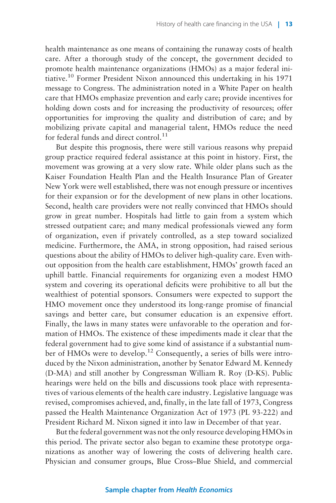health maintenance as one means of containing the runaway costs of health care. After a thorough study of the concept, the government decided to promote health maintenance organizations (HMOs) as a major federal initiative.[10](#page-24-0) Former President Nixon announced this undertaking in his 1971 message to Congress. The administration noted in a White Paper on health care that HMOs emphasize prevention and early care; provide incentives for holding down costs and for increasing the productivity of resources; offer opportunities for improving the quality and distribution of care; and by mobilizing private capital and managerial talent, HMOs reduce the need for federal funds and direct control.<sup>[11](#page-24-0)</sup>

But despite this prognosis, there were still various reasons why prepaid group practice required federal assistance at this point in history. First, the movement was growing at a very slow rate. While older plans such as the Kaiser Foundation Health Plan and the Health Insurance Plan of Greater New York were well established, there was not enough pressure or incentives for their expansion or for the development of new plans in other locations. Second, health care providers were not really convinced that HMOs should grow in great number. Hospitals had little to gain from a system which stressed outpatient care; and many medical professionals viewed any form of organization, even if privately controlled, as a step toward socialized medicine. Furthermore, the AMA, in strong opposition, had raised serious questions about the ability of HMOs to deliver high-quality care. Even without opposition from the health care establishment, HMOs' growth faced an uphill battle. Financial requirements for organizing even a modest HMO system and covering its operational deficits were prohibitive to all but the wealthiest of potential sponsors. Consumers were expected to support the HMO movement once they understood its long-range promise of financial savings and better care, but consumer education is an expensive effort. Finally, the laws in many states were unfavorable to the operation and formation of HMOs. The existence of these impediments made it clear that the federal government had to give some kind of assistance if a substantial num-ber of HMOs were to develop.<sup>[12](#page-24-0)</sup> Consequently, a series of bills were introduced by the Nixon administration, another by Senator Edward M. Kennedy (D-MA) and still another by Congressman William R. Roy (D-KS). Public hearings were held on the bills and discussions took place with representatives of various elements of the health care industry. Legislative language was revised, compromises achieved, and, finally, in the late fall of 1973, Congress passed the Health Maintenance Organization Act of 1973 (PL 93-222) and President Richard M. Nixon signed it into law in December of that year.

But the federal government was not the only resource developing HMOs in this period. The private sector also began to examine these prototype organizations as another way of lowering the costs of delivering health care. Physician and consumer groups, Blue Cross–Blue Shield, and commercial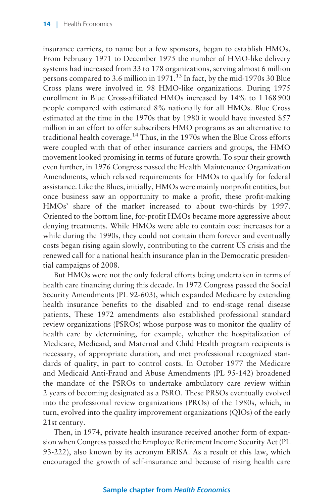insurance carriers, to name but a few sponsors, began to establish HMOs. From February 1971 to December 1975 the number of HMO-like delivery systems had increased from 33 to 178 organizations, serving almost 6 million persons compared to 3.6 million in  $1971<sup>13</sup>$  $1971<sup>13</sup>$  $1971<sup>13</sup>$  In fact, by the mid-1970s 30 Blue Cross plans were involved in 98 HMO-like organizations. During 1975 enrollment in Blue Cross-affiliated HMOs increased by 14% to 1 168 900 people compared with estimated 8% nationally for all HMOs. Blue Cross estimated at the time in the 1970s that by 1980 it would have invested \$57 million in an effort to offer subscribers HMO programs as an alternative to traditional health coverage.[14](#page-24-0) Thus, in the 1970s when the Blue Cross efforts were coupled with that of other insurance carriers and groups, the HMO movement looked promising in terms of future growth. To spur their growth even further, in 1976 Congress passed the Health Maintenance Organization Amendments, which relaxed requirements for HMOs to qualify for federal assistance. Like the Blues, initially, HMOs were mainly nonprofit entities, but once business saw an opportunity to make a profit, these profit-making HMOs' share of the market increased to about two-thirds by 1997. Oriented to the bottom line, for-profit HMOs became more aggressive about denying treatments. While HMOs were able to contain cost increases for a while during the 1990s, they could not contain them forever and eventually costs began rising again slowly, contributing to the current US crisis and the renewed call for a national health insurance plan in the Democratic presidential campaigns of 2008.

But HMOs were not the only federal efforts being undertaken in terms of health care financing during this decade. In 1972 Congress passed the Social Security Amendments (PL 92-603), which expanded Medicare by extending health insurance benefits to the disabled and to end-stage renal disease patients, These 1972 amendments also established professional standard review organizations (PSROs) whose purpose was to monitor the quality of health care by determining, for example, whether the hospitalization of Medicare, Medicaid, and Maternal and Child Health program recipients is necessary, of appropriate duration, and met professional recognized standards of quality, in part to control costs. In October 1977 the Medicare and Medicaid Anti-Fraud and Abuse Amendments (PL 95-142) broadened the mandate of the PSROs to undertake ambulatory care review within 2 years of becoming designated as a PSRO. These PRSOs eventually evolved into the professional review organizations (PROs) of the 1980s, which, in turn, evolved into the quality improvement organizations (QIOs) of the early 21st century.

Then, in 1974, private health insurance received another form of expansion when Congress passed the Employee Retirement Income Security Act (PL 93-222), also known by its acronym ERISA. As a result of this law, which encouraged the growth of self-insurance and because of rising health care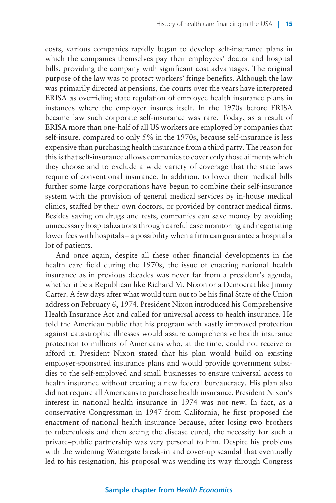costs, various companies rapidly began to develop self-insurance plans in which the companies themselves pay their employees' doctor and hospital bills, providing the company with significant cost advantages. The original purpose of the law was to protect workers' fringe benefits. Although the law was primarily directed at pensions, the courts over the years have interpreted ERISA as overriding state regulation of employee health insurance plans in instances where the employer insures itself. In the 1970s before ERISA became law such corporate self-insurance was rare. Today, as a result of ERISA more than one-half of all US workers are employed by companies that self-insure, compared to only 5% in the 1970s, because self-insurance is less expensive than purchasing health insurance from a third party. The reason for this is that self-insurance allows companies to cover only those ailments which they choose and to exclude a wide variety of coverage that the state laws require of conventional insurance. In addition, to lower their medical bills further some large corporations have begun to combine their self-insurance system with the provision of general medical services by in-house medical clinics, staffed by their own doctors, or provided by contract medical firms. Besides saving on drugs and tests, companies can save money by avoiding unnecessary hospitalizations through careful case monitoring and negotiating lower fees with hospitals – a possibility when a firm can guarantee a hospital a lot of patients.

And once again, despite all these other financial developments in the health care field during the 1970s, the issue of enacting national health insurance as in previous decades was never far from a president's agenda, whether it be a Republican like Richard M. Nixon or a Democrat like Jimmy Carter. A few days after what would turn out to be his final State of the Union address on February 6, 1974, President Nixon introduced his Comprehensive Health Insurance Act and called for universal access to health insurance. He told the American public that his program with vastly improved protection against catastrophic illnesses would assure comprehensive health insurance protection to millions of Americans who, at the time, could not receive or afford it. President Nixon stated that his plan would build on existing employer-sponsored insurance plans and would provide government subsidies to the self-employed and small businesses to ensure universal access to health insurance without creating a new federal bureaucracy. His plan also did not require all Americans to purchase health insurance. President Nixon's interest in national health insurance in 1974 was not new. In fact, as a conservative Congressman in 1947 from California, he first proposed the enactment of national health insurance because, after losing two brothers to tuberculosis and then seeing the disease cured, the necessity for such a private–public partnership was very personal to him. Despite his problems with the widening Watergate break-in and cover-up scandal that eventually led to his resignation, his proposal was wending its way through Congress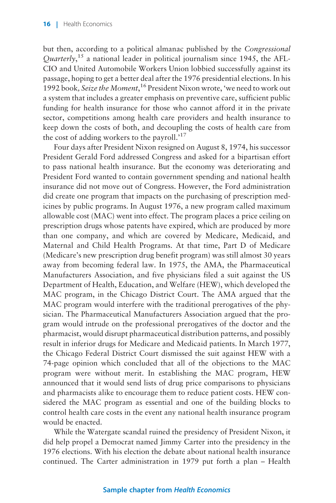but then, according to a political almanac published by the Congressional Quarterly,<sup>[15](#page-24-0)</sup> a national leader in political journalism since 1945, the AFL-CIO and United Automobile Workers Union lobbied successfully against its passage, hoping to get a better deal after the 1976 presidential elections. In his 1992 book, Seize the Moment, <sup>[16](#page-24-0)</sup> President Nixon wrote, 'we need to work out a system that includes a greater emphasis on preventive care, sufficient public funding for health insurance for those who cannot afford it in the private sector, competitions among health care providers and health insurance to keep down the costs of both, and decoupling the costs of health care from the cost of adding workers to the payroll.<sup>17</sup>

Four days after President Nixon resigned on August 8, 1974, his successor President Gerald Ford addressed Congress and asked for a bipartisan effort to pass national health insurance. But the economy was deteriorating and President Ford wanted to contain government spending and national health insurance did not move out of Congress. However, the Ford administration did create one program that impacts on the purchasing of prescription medicines by public programs. In August 1976, a new program called maximum allowable cost (MAC) went into effect. The program places a price ceiling on prescription drugs whose patents have expired, which are produced by more than one company, and which are covered by Medicare, Medicaid, and Maternal and Child Health Programs. At that time, Part D of Medicare (Medicare's new prescription drug benefit program) was still almost 30 years away from becoming federal law. In 1975, the AMA, the Pharmaceutical Manufacturers Association, and five physicians filed a suit against the US Department of Health, Education, and Welfare (HEW), which developed the MAC program, in the Chicago District Court. The AMA argued that the MAC program would interfere with the traditional prerogatives of the physician. The Pharmaceutical Manufacturers Association argued that the program would intrude on the professional prerogatives of the doctor and the pharmacist, would disrupt pharmaceutical distribution patterns, and possibly result in inferior drugs for Medicare and Medicaid patients. In March 1977, the Chicago Federal District Court dismissed the suit against HEW with a 74-page opinion which concluded that all of the objections to the MAC program were without merit. In establishing the MAC program, HEW announced that it would send lists of drug price comparisons to physicians and pharmacists alike to encourage them to reduce patient costs. HEW considered the MAC program as essential and one of the building blocks to control health care costs in the event any national health insurance program would be enacted.

While the Watergate scandal ruined the presidency of President Nixon, it did help propel a Democrat named Jimmy Carter into the presidency in the 1976 elections. With his election the debate about national health insurance continued. The Carter administration in 1979 put forth a plan – Health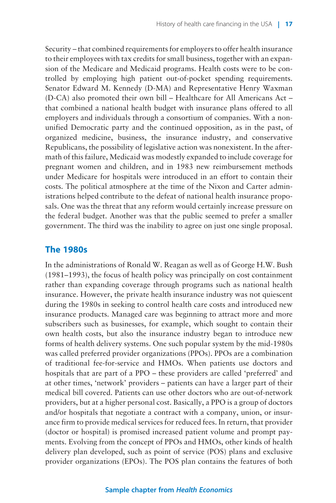Security – that combined requirements for employers to offer health insurance to their employees with tax credits for small business, together with an expansion of the Medicare and Medicaid programs. Health costs were to be controlled by employing high patient out-of-pocket spending requirements. Senator Edward M. Kennedy (D-MA) and Representative Henry Waxman (D-CA) also promoted their own bill – Healthcare for All Americans Act – that combined a national health budget with insurance plans offered to all employers and individuals through a consortium of companies. With a nonunified Democratic party and the continued opposition, as in the past, of organized medicine, business, the insurance industry, and conservative Republicans, the possibility of legislative action was nonexistent. In the aftermath of this failure, Medicaid was modestly expanded to include coverage for pregnant women and children, and in 1983 new reimbursement methods under Medicare for hospitals were introduced in an effort to contain their costs. The political atmosphere at the time of the Nixon and Carter administrations helped contribute to the defeat of national health insurance proposals. One was the threat that any reform would certainly increase pressure on the federal budget. Another was that the public seemed to prefer a smaller government. The third was the inability to agree on just one single proposal.

### The 1980s

In the administrations of Ronald W. Reagan as well as of George H.W. Bush (1981–1993), the focus of health policy was principally on cost containment rather than expanding coverage through programs such as national health insurance. However, the private health insurance industry was not quiescent during the 1980s in seeking to control health care costs and introduced new insurance products. Managed care was beginning to attract more and more subscribers such as businesses, for example, which sought to contain their own health costs, but also the insurance industry began to introduce new forms of health delivery systems. One such popular system by the mid-1980s was called preferred provider organizations (PPOs). PPOs are a combination of traditional fee-for-service and HMOs. When patients use doctors and hospitals that are part of a PPO – these providers are called 'preferred' and at other times, 'network' providers – patients can have a larger part of their medical bill covered. Patients can use other doctors who are out-of-network providers, but at a higher personal cost. Basically, a PPO is a group of doctors and/or hospitals that negotiate a contract with a company, union, or insurance firm to provide medical services for reduced fees. In return, that provider (doctor or hospital) is promised increased patient volume and prompt payments. Evolving from the concept of PPOs and HMOs, other kinds of health delivery plan developed, such as point of service (POS) plans and exclusive provider organizations (EPOs). The POS plan contains the features of both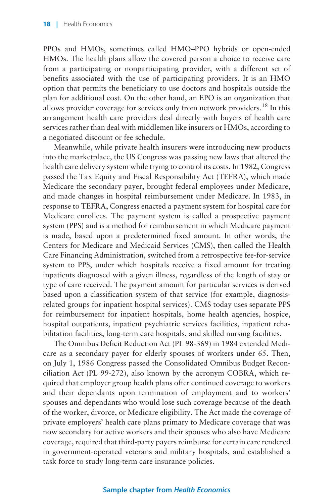PPOs and HMOs, sometimes called HMO–PPO hybrids or open-ended HMOs. The health plans allow the covered person a choice to receive care from a participating or nonparticipating provider, with a different set of benefits associated with the use of participating providers. It is an HMO option that permits the beneficiary to use doctors and hospitals outside the plan for additional cost. On the other hand, an EPO is an organization that allows provider coverage for services only from network providers.[18](#page-24-0) In this arrangement health care providers deal directly with buyers of health care services rather than deal with middlemen like insurers or HMOs, according to a negotiated discount or fee schedule.

Meanwhile, while private health insurers were introducing new products into the marketplace, the US Congress was passing new laws that altered the health care delivery system while trying to control its costs. In 1982, Congress passed the Tax Equity and Fiscal Responsibility Act (TEFRA), which made Medicare the secondary payer, brought federal employees under Medicare, and made changes in hospital reimbursement under Medicare. In 1983, in response to TEFRA, Congress enacted a payment system for hospital care for Medicare enrollees. The payment system is called a prospective payment system (PPS) and is a method for reimbursement in which Medicare payment is made, based upon a predetermined fixed amount. In other words, the Centers for Medicare and Medicaid Services (CMS), then called the Health Care Financing Administration, switched from a retrospective fee-for-service system to PPS, under which hospitals receive a fixed amount for treating inpatients diagnosed with a given illness, regardless of the length of stay or type of care received. The payment amount for particular services is derived based upon a classification system of that service (for example, diagnosisrelated groups for inpatient hospital services). CMS today uses separate PPS for reimbursement for inpatient hospitals, home health agencies, hospice, hospital outpatients, inpatient psychiatric services facilities, inpatient rehabilitation facilities, long-term care hospitals, and skilled nursing facilities.

The Omnibus Deficit Reduction Act (PL 98-369) in 1984 extended Medicare as a secondary payer for elderly spouses of workers under 65. Then, on July 1, 1986 Congress passed the Consolidated Omnibus Budget Reconciliation Act (PL 99-272), also known by the acronym COBRA, which required that employer group health plans offer continued coverage to workers and their dependants upon termination of employment and to workers' spouses and dependants who would lose such coverage because of the death of the worker, divorce, or Medicare eligibility. The Act made the coverage of private employers' health care plans primary to Medicare coverage that was now secondary for active workers and their spouses who also have Medicare coverage, required that third-party payers reimburse for certain care rendered in government-operated veterans and military hospitals, and established a task force to study long-term care insurance policies.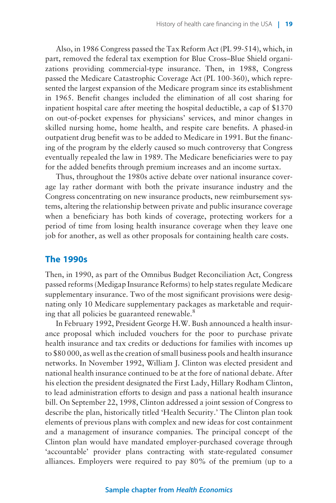Also, in 1986 Congress passed the Tax Reform Act (PL 99-514), which, in part, removed the federal tax exemption for Blue Cross–Blue Shield organizations providing commercial-type insurance. Then, in 1988, Congress passed the Medicare Catastrophic Coverage Act (PL 100-360), which represented the largest expansion of the Medicare program since its establishment in 1965. Benefit changes included the elimination of all cost sharing for inpatient hospital care after meeting the hospital deductible, a cap of \$1370 on out-of-pocket expenses for physicians' services, and minor changes in skilled nursing home, home health, and respite care benefits. A phased-in outpatient drug benefit was to be added to Medicare in 1991. But the financing of the program by the elderly caused so much controversy that Congress eventually repealed the law in 1989. The Medicare beneficiaries were to pay for the added benefits through premium increases and an income surtax.

Thus, throughout the 1980s active debate over national insurance coverage lay rather dormant with both the private insurance industry and the Congress concentrating on new insurance products, new reimbursement systems, altering the relationship between private and public insurance coverage when a beneficiary has both kinds of coverage, protecting workers for a period of time from losing health insurance coverage when they leave one job for another, as well as other proposals for containing health care costs.

## The 1990s

Then, in 1990, as part of the Omnibus Budget Reconciliation Act, Congress passed reforms (Medigap Insurance Reforms) to help states regulate Medicare supplementary insurance. Two of the most significant provisions were designating only 10 Medicare supplementary packages as marketable and requir-ing that all policies be guaranteed renewable.<sup>[8](#page-24-0)</sup>

In February 1992, President George H.W. Bush announced a health insurance proposal which included vouchers for the poor to purchase private health insurance and tax credits or deductions for families with incomes up to \$80 000, as well as the creation of small business pools and health insurance networks. In November 1992, William J. Clinton was elected president and national health insurance continued to be at the fore of national debate. After his election the president designated the First Lady, Hillary Rodham Clinton, to lead administration efforts to design and pass a national health insurance bill. On September 22, 1998, Clinton addressed a joint session of Congress to describe the plan, historically titled 'Health Security.' The Clinton plan took elements of previous plans with complex and new ideas for cost containment and a management of insurance companies. The principal concept of the Clinton plan would have mandated employer-purchased coverage through 'accountable' provider plans contracting with state-regulated consumer alliances. Employers were required to pay 80% of the premium (up to a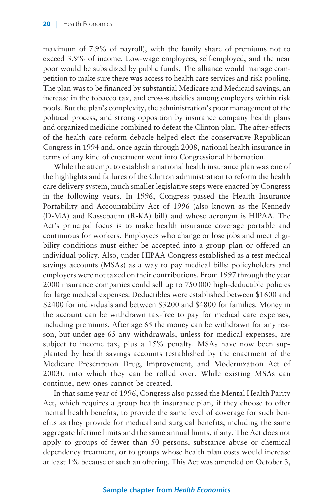maximum of 7.9% of payroll), with the family share of premiums not to exceed 3.9% of income. Low-wage employees, self-employed, and the near poor would be subsidized by public funds. The alliance would manage competition to make sure there was access to health care services and risk pooling. The plan was to be financed by substantial Medicare and Medicaid savings, an increase in the tobacco tax, and cross-subsidies among employers within risk pools. But the plan's complexity, the administration's poor management of the political process, and strong opposition by insurance company health plans and organized medicine combined to defeat the Clinton plan. The after-effects of the health care reform debacle helped elect the conservative Republican Congress in 1994 and, once again through 2008, national health insurance in terms of any kind of enactment went into Congressional hibernation.

While the attempt to establish a national health insurance plan was one of the highlights and failures of the Clinton administration to reform the health care delivery system, much smaller legislative steps were enacted by Congress in the following years. In 1996, Congress passed the Health Insurance Portability and Accountability Act of 1996 (also known as the Kennedy (D-MA) and Kassebaum (R-KA) bill) and whose acronym is HIPAA. The Act's principal focus is to make health insurance coverage portable and continuous for workers. Employees who change or lose jobs and meet eligibility conditions must either be accepted into a group plan or offered an individual policy. Also, under HIPAA Congress established as a test medical savings accounts (MSAs) as a way to pay medical bills: policyholders and employers were not taxed on their contributions. From 1997 through the year 2000 insurance companies could sell up to 750 000 high-deductible policies for large medical expenses. Deductibles were established between \$1600 and \$2400 for individuals and between \$3200 and \$4800 for families. Money in the account can be withdrawn tax-free to pay for medical care expenses, including premiums. After age 65 the money can be withdrawn for any reason, but under age 65 any withdrawals, unless for medical expenses, are subject to income tax, plus a 15% penalty. MSAs have now been supplanted by health savings accounts (established by the enactment of the Medicare Prescription Drug, Improvement, and Modernization Act of 2003), into which they can be rolled over. While existing MSAs can continue, new ones cannot be created.

In that same year of 1996, Congress also passed the Mental Health Parity Act, which requires a group health insurance plan, if they choose to offer mental health benefits, to provide the same level of coverage for such benefits as they provide for medical and surgical benefits, including the same aggregate lifetime limits and the same annual limits, if any. The Act does not apply to groups of fewer than 50 persons, substance abuse or chemical dependency treatment, or to groups whose health plan costs would increase at least 1% because of such an offering. This Act was amended on October 3,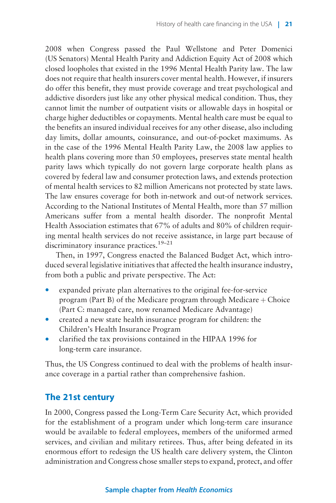2008 when Congress passed the Paul Wellstone and Peter Domenici (US Senators) Mental Health Parity and Addiction Equity Act of 2008 which closed loopholes that existed in the 1996 Mental Health Parity law. The law does not require that health insurers cover mental health. However, if insurers do offer this benefit, they must provide coverage and treat psychological and addictive disorders just like any other physical medical condition. Thus, they cannot limit the number of outpatient visits or allowable days in hospital or charge higher deductibles or copayments. Mental health care must be equal to the benefits an insured individual receives for any other disease, also including day limits, dollar amounts, coinsurance, and out-of-pocket maximums. As in the case of the 1996 Mental Health Parity Law, the 2008 law applies to health plans covering more than 50 employees, preserves state mental health parity laws which typically do not govern large corporate health plans as covered by federal law and consumer protection laws, and extends protection of mental health services to 82 million Americans not protected by state laws. The law ensures coverage for both in-network and out-of network services. According to the National Institutes of Mental Health, more than 57 million Americans suffer from a mental health disorder. The nonprofit Mental Health Association estimates that 67% of adults and 80% of children requiring mental health services do not receive assistance, in large part because of discriminatory insurance practices.<sup>19-21</sup>

Then, in 1997, Congress enacted the Balanced Budget Act, which introduced several legislative initiatives that affected the health insurance industry, from both a public and private perspective. The Act:

- expanded private plan alternatives to the original fee-for-service program (Part B) of the Medicare program through Medicare *þ* Choice (Part C: managed care, now renamed Medicare Advantage)
- created a new state health insurance program for children: the Children's Health Insurance Program
- clarified the tax provisions contained in the HIPAA 1996 for long-term care insurance.

Thus, the US Congress continued to deal with the problems of health insurance coverage in a partial rather than comprehensive fashion.

# The 21st century

In 2000, Congress passed the Long-Term Care Security Act, which provided for the establishment of a program under which long-term care insurance would be available to federal employees, members of the uniformed armed services, and civilian and military retirees. Thus, after being defeated in its enormous effort to redesign the US health care delivery system, the Clinton administration and Congress chose smaller steps to expand, protect, and offer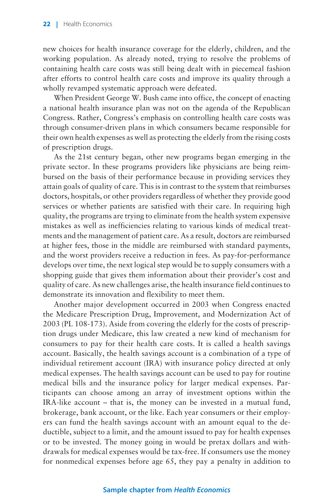new choices for health insurance coverage for the elderly, children, and the working population. As already noted, trying to resolve the problems of containing health care costs was still being dealt with in piecemeal fashion after efforts to control health care costs and improve its quality through a wholly revamped systematic approach were defeated.

When President George W. Bush came into office, the concept of enacting a national health insurance plan was not on the agenda of the Republican Congress. Rather, Congress's emphasis on controlling health care costs was through consumer-driven plans in which consumers became responsible for their own health expenses as well as protecting the elderly from the rising costs of prescription drugs.

As the 21st century began, other new programs began emerging in the private sector. In these programs providers like physicians are being reimbursed on the basis of their performance because in providing services they attain goals of quality of care. This is in contrast to the system that reimburses doctors, hospitals, or other providers regardless of whether they provide good services or whether patients are satisfied with their care. In requiring high quality, the programs are trying to eliminate from the health system expensive mistakes as well as inefficiencies relating to various kinds of medical treatments and the management of patient care. As a result, doctors are reimbursed at higher fees, those in the middle are reimbursed with standard payments, and the worst providers receive a reduction in fees. As pay-for-performance develops over time, the next logical step would be to supply consumers with a shopping guide that gives them information about their provider's cost and quality of care. As new challenges arise, the health insurance field continues to demonstrate its innovation and flexibility to meet them.

Another major development occurred in 2003 when Congress enacted the Medicare Prescription Drug, Improvement, and Modernization Act of 2003 (PL 108-173). Aside from covering the elderly for the costs of prescription drugs under Medicare, this law created a new kind of mechanism for consumers to pay for their health care costs. It is called a health savings account. Basically, the health savings account is a combination of a type of individual retirement account (IRA) with insurance policy directed at only medical expenses. The health savings account can be used to pay for routine medical bills and the insurance policy for larger medical expenses. Participants can choose among an array of investment options within the IRA-like account – that is, the money can be invested in a mutual fund, brokerage, bank account, or the like. Each year consumers or their employers can fund the health savings account with an amount equal to the deductible, subject to a limit, and the amount issued to pay for health expenses or to be invested. The money going in would be pretax dollars and withdrawals for medical expenses would be tax-free. If consumers use the money for nonmedical expenses before age 65, they pay a penalty in addition to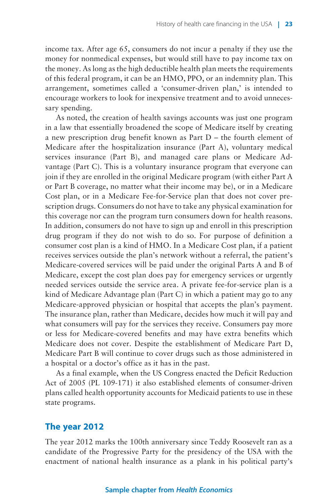income tax. After age 65, consumers do not incur a penalty if they use the money for nonmedical expenses, but would still have to pay income tax on the money. As long as the high deductible health plan meets the requirements of this federal program, it can be an HMO, PPO, or an indemnity plan. This arrangement, sometimes called a 'consumer-driven plan,' is intended to encourage workers to look for inexpensive treatment and to avoid unnecessary spending.

As noted, the creation of health savings accounts was just one program in a law that essentially broadened the scope of Medicare itself by creating a new prescription drug benefit known as Part D – the fourth element of Medicare after the hospitalization insurance (Part A), voluntary medical services insurance (Part B), and managed care plans or Medicare Advantage (Part C). This is a voluntary insurance program that everyone can join if they are enrolled in the original Medicare program (with either Part A or Part B coverage, no matter what their income may be), or in a Medicare Cost plan, or in a Medicare Fee-for-Service plan that does not cover prescription drugs. Consumers do not have to take any physical examination for this coverage nor can the program turn consumers down for health reasons. In addition, consumers do not have to sign up and enroll in this prescription drug program if they do not wish to do so. For purpose of definition a consumer cost plan is a kind of HMO. In a Medicare Cost plan, if a patient receives services outside the plan's network without a referral, the patient's Medicare-covered services will be paid under the original Parts A and B of Medicare, except the cost plan does pay for emergency services or urgently needed services outside the service area. A private fee-for-service plan is a kind of Medicare Advantage plan (Part C) in which a patient may go to any Medicare-approved physician or hospital that accepts the plan's payment. The insurance plan, rather than Medicare, decides how much it will pay and what consumers will pay for the services they receive. Consumers pay more or less for Medicare-covered benefits and may have extra benefits which Medicare does not cover. Despite the establishment of Medicare Part D, Medicare Part B will continue to cover drugs such as those administered in a hospital or a doctor's office as it has in the past.

As a final example, when the US Congress enacted the Deficit Reduction Act of 2005 (PL 109-171) it also established elements of consumer-driven plans called health opportunity accounts for Medicaid patients to use in these state programs.

## The year 2012

The year 2012 marks the 100th anniversary since Teddy Roosevelt ran as a candidate of the Progressive Party for the presidency of the USA with the enactment of national health insurance as a plank in his political party's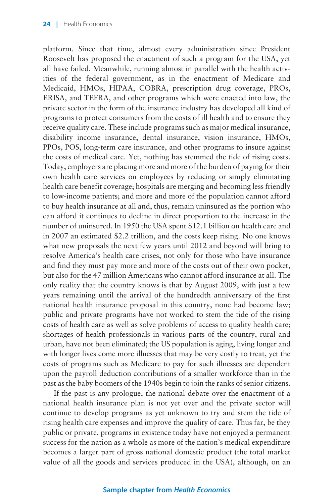platform. Since that time, almost every administration since President Roosevelt has proposed the enactment of such a program for the USA, yet all have failed. Meanwhile, running almost in parallel with the health activities of the federal government, as in the enactment of Medicare and Medicaid, HMOs, HIPAA, COBRA, prescription drug coverage, PROs, ERISA, and TEFRA, and other programs which were enacted into law, the private sector in the form of the insurance industry has developed all kind of programs to protect consumers from the costs of ill health and to ensure they receive quality care. These include programs such as major medical insurance, disability income insurance, dental insurance, vision insurance, HMOs, PPOs, POS, long-term care insurance, and other programs to insure against the costs of medical care. Yet, nothing has stemmed the tide of rising costs. Today, employers are placing more and more of the burden of paying for their own health care services on employees by reducing or simply eliminating health care benefit coverage; hospitals are merging and becoming less friendly to low-income patients; and more and more of the population cannot afford to buy health insurance at all and, thus, remain uninsured as the portion who can afford it continues to decline in direct proportion to the increase in the number of uninsured. In 1950 the USA spent \$12.1 billion on health care and in 2007 an estimated \$2.2 trillion, and the costs keep rising. No one knows what new proposals the next few years until 2012 and beyond will bring to resolve America's health care crises, not only for those who have insurance and find they must pay more and more of the costs out of their own pocket, but also for the 47 million Americans who cannot afford insurance at all. The only reality that the country knows is that by August 2009, with just a few years remaining until the arrival of the hundredth anniversary of the first national health insurance proposal in this country, none had become law; public and private programs have not worked to stem the tide of the rising costs of health care as well as solve problems of access to quality health care; shortages of health professionals in various parts of the country, rural and urban, have not been eliminated; the US population is aging, living longer and with longer lives come more illnesses that may be very costly to treat, yet the costs of programs such as Medicare to pay for such illnesses are dependent upon the payroll deduction contributions of a smaller workforce than in the past as the baby boomers of the 1940s begin to join the ranks of senior citizens.

If the past is any prologue, the national debate over the enactment of a national health insurance plan is not yet over and the private sector will continue to develop programs as yet unknown to try and stem the tide of rising health care expenses and improve the quality of care. Thus far, be they public or private, programs in existence today have not enjoyed a permanent success for the nation as a whole as more of the nation's medical expenditure becomes a larger part of gross national domestic product (the total market value of all the goods and services produced in the USA), although, on an